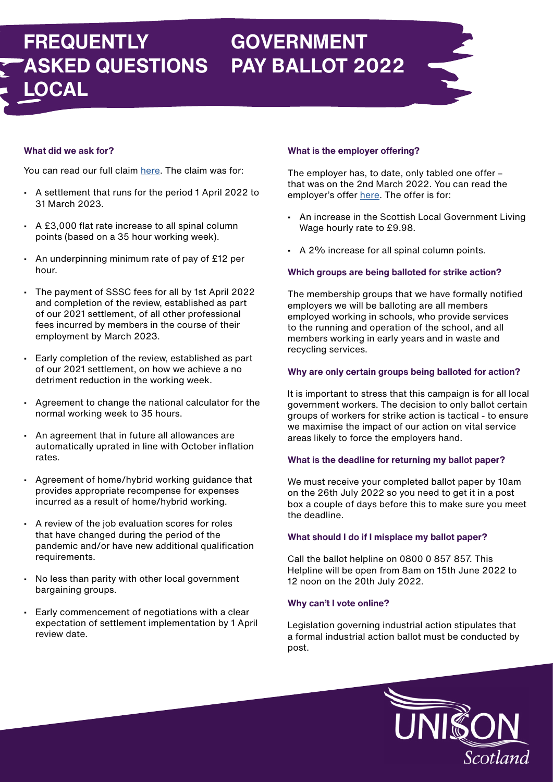- A settlement that runs for the period 1 April 2022 to 31 March 2023.
- A £3,000 flat rate increase to all spinal column points (based on a 35 hour working week).
- An underpinning minimum rate of pay of £12 per hour.
- The payment of SSSC fees for all by 1st April 2022 and completion of the review, established as part of our 2021 settlement, of all other professional fees incurred by members in the course of their employment by March 2023.
- Early completion of the review, established as part of our 2021 settlement, on how we achieve a no detriment reduction in the working week.
- normal working week to 35 hours. • Agreement to change the national calculator for the
- An equeement that in future all ellewanees are automatically uprated in line with October inflation rates. • An agreement that in future all allowances are
- **·** Agreement of home/hybrid working guidance that provides appropriate recompense for expenses incurred as a result of home/hybrid working.
- A review of the job evaluation scores for roles that have changed during the period of the<br>readersie and/er have new additional quality partisme and e period of the<br>delitional qualification additional qualification pandemic and/or have new additional qualification
- through the post vote **YES** to strike soon. bargaining groups. • No less than parity with other local government<br>bargaining groups

# **FREQUENTLY ASKED QUESTIONS LOCAL GOVERNMENT PAY BALLOT 2022**

# **What did we ask for?**

You can read our full claim [here.](https://unison-scotland.org/wp-content/uploads/SJC-Pay-Claim-2022.pdf) The claim was for:

- Early commencement or negotiations with a clear<br>expectation of settlement implementation by 1 April review date. • Early commencement of negotiations with a clear

# **What is the employer offering?**

The employer has, to date, only tabled one offer – that was on the 2nd March 2022. You can read the employer's offer [here.](https://view.officeapps.live.com/op/view.aspx?src=https%3A%2F%2Funison-scotland.org%2Fwp-content%2Fuploads%2F22-02-28-SJC-Letter-of-Offer.doc&wdOrigin=BROWSELINK) The offer is for:

- An increase in the Scottish Local Government Living Wage hourly rate to £9.98.
- A 2% increase for all spinal column points.

## **Which groups are being balloted for strike action?**

The membership groups that we have formally notified employers we will be balloting are all members employed working in schools, who provide services to the running and operation of the school, and all members working in early years and in waste and recycling services.

#### **Why are only certain groups being balloted for action?**

It is important to stress that this campaign is for all local government workers. The decision to only ballot certain groups of workers for strike action is tactical - to ensure we maximise the impact of our action on vital service areas likely to force the employers hand.

#### **What is the deadline for returning my ballot paper?**

We must receive your completed ballot paper by 10am on the 26th July 2022 so you need to get it in a post box a couple of days before this to make sure you meet the deadline.

#### **What should I do if I misplace my ballot paper?**

Call the ballot helpline on 0800 0 857 857. This Helpline will be open from 8am on 15th June 2022 to 12 noon on the 20th July 2022.

#### **Why can't I vote online?**

Legislation governing industrial action stipulates that a formal industrial action ballot must be conducted by post.

UNISON<br>Scotland